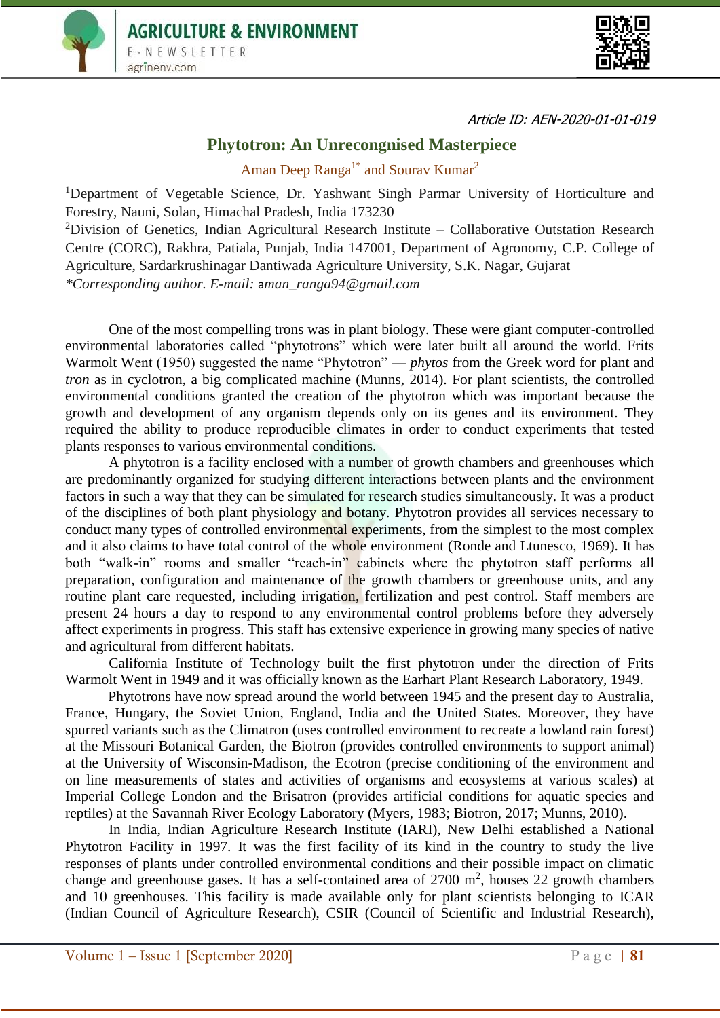



Article ID: AEN-2020-01-01-019

## **Phytotron: An Unrecongnised Masterpiece**

Aman Deep Ranga<sup>1\*</sup> and Sourav Kumar<sup>2</sup>

<sup>1</sup>Department of Vegetable Science, Dr. Yashwant Singh Parmar University of Horticulture and Forestry, Nauni, Solan, Himachal Pradesh, India 173230

<sup>2</sup>Division of Genetics, Indian Agricultural Research Institute – Collaborative Outstation Research Centre (CORC), Rakhra, Patiala, Punjab, India 147001, Department of Agronomy, C.P. College of Agriculture, Sardarkrushinagar Dantiwada Agriculture University, S.K. Nagar, Gujarat *\*Corresponding author. E-mail:* a*man\_ranga94@gmail.com*

One of the most compelling trons was in plant biology. These were giant computer-controlled environmental laboratories called "phytotrons" which were later built all around the world. Frits Warmolt Went (1950) suggested the name "Phytotron" — *phytos* from the Greek word for plant and *tron* as in cyclotron, a big complicated machine (Munns, 2014). For plant scientists, the controlled environmental conditions granted the creation of the phytotron which was important because the growth and development of any organism depends only on its genes and its environment. They required the ability to produce reproducible climates in order to conduct experiments that tested plants responses to various environmental conditions.

A phytotron is a facility enclosed with a number of growth chambers and greenhouses which are predominantly organized for studying different interactions between plants and the environment factors in such a way that they can be simulated for research studies simultaneously. It was a product of the disciplines of both plant physiology and botany. Phytotron provides all services necessary to conduct many types of controlled environmental experiments, from the simplest to the most complex and it also claims to have total control of the whole environment (Ronde and Ltunesco, 1969). It has both "walk-in" rooms and smaller "reach-in" cabinets where the phytotron staff performs all preparation, configuration and maintenance of the growth chambers or greenhouse units, and any routine plant care requested, including irrigation, fertilization and pest control. Staff members are present 24 hours a day to respond to any environmental control problems before they adversely affect experiments in progress. This staff has extensive experience in growing many species of native and agricultural from different habitats.

California Institute of Technology built the first phytotron under the direction of Frits Warmolt Went in 1949 and it was officially known as the Earhart Plant Research Laboratory, 1949.

Phytotrons have now spread around the world between 1945 and the present day to Australia, France, Hungary, the Soviet Union, England, India and the United States. Moreover, they have spurred variants such as the Climatron (uses controlled environment to recreate a lowland rain forest) at the [Missouri Botanical Garden,](https://en.wikipedia.org/wiki/Missouri_Botanical_Garden) the Biotron (provides controlled environments to support animal) at the [University of Wisconsin-Madison,](https://en.wikipedia.org/wiki/University_of_Wisconsin-Madison) the Ecotron (precise conditioning of the environment and on line measurements of states and activities of organisms and ecosystems at various scales) at Imperial College London and the Brisatron (provides artificial conditions for aquatic species and reptiles) at the Savannah River Ecology Laboratory (Myers, 1983; Biotron, 2017; Munns, 2010).

In India, Indian Agriculture Research Institute (IARI), New Delhi established a National Phytotron Facility in 1997. It was the first facility of its kind in the country to study the live responses of plants under controlled environmental conditions and their possible impact on climatic change and greenhouse gases. It has a self-contained area of  $2700 \text{ m}^2$ , houses 22 growth chambers and 10 greenhouses. This facility is made available only for plant scientists belonging to ICAR (Indian Council of Agriculture Research), CSIR (Council of Scientific and Industrial Research),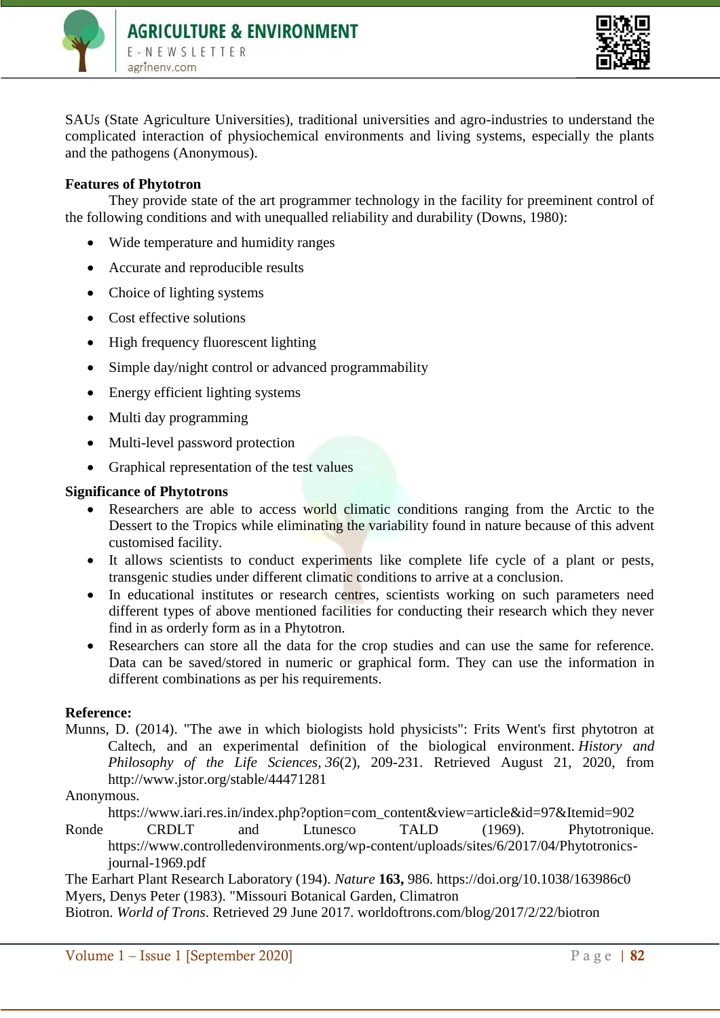



SAUs (State Agriculture Universities), traditional universities and agro-industries to understand the complicated interaction of physiochemical environments and living systems, especially the plants and the pathogens (Anonymous).

## **Features of Phytotron**

They provide state of the art programmer technology in the facility for preeminent control of the following conditions and with unequalled reliability and durability (Downs, 1980):

- Wide temperature and humidity ranges
- Accurate and reproducible results
- Choice of lighting systems
- Cost effective solutions
- High frequency fluorescent lighting
- Simple day/night control or advanced programmability
- Energy efficient lighting systems
- Multi day programming
- Multi-level password protection
- Graphical representation of the test values

## **Significance of Phytotrons**

- Researchers are able to access world climatic conditions ranging from the Arctic to the Dessert to the Tropics while eliminating the variability found in nature because of this advent customised facility.
- It allows scientists to conduct experiments like complete life cycle of a plant or pests, transgenic studies under different climatic conditions to arrive at a conclusion.
- In educational institutes or research centres, scientists working on such parameters need different types of above mentioned facilities for conducting their research which they never find in as orderly form as in a Phytotron.
- Researchers can store all the data for the crop studies and can use the same for reference. Data can be saved/stored in numeric or graphical form. They can use the information in different combinations as per his requirements.

## **Reference:**

Munns, D. (2014). "The awe in which biologists hold physicists": Frits Went's first phytotron at Caltech, and an experimental definition of the biological environment. *History and Philosophy of the Life Sciences, 36*(2), 209-231. Retrieved August 21, 2020, from http://www.jstor.org/stable/44471281

Anonymous.

[https://www.iari.res.in/index.php?option=com\\_content&view=article&id=97&Itemid=902](https://www.iari.res.in/index.php?option=com_content&view=article&id=97&Itemid=902)

Ronde CRDLT and Ltunesco TALD (1969). Phytotronique. [https://www.controlledenvironments.org/wp-content/uploads/sites/6/2017/04/Phytotronics](https://www.controlledenvironments.org/wp-content/uploads/sites/6/2017/04/Phytotronics-journal-1969.pdf)[journal-1969.pdf](https://www.controlledenvironments.org/wp-content/uploads/sites/6/2017/04/Phytotronics-journal-1969.pdf)

The Earhart Plant Research Laboratory (194). *Nature* **163,** 986.<https://doi.org/10.1038/163986c0> Myers, Denys Peter (1983). ["Missouri Botanical Garden, Climatron](https://web.archive.org/web/20121024051527/http:/lcweb2.loc.gov/pnp/habshaer/mo/mo0400/mo0413/data/mo0413data.pdf)

Biotron. *World of Trons*. Retrieved 29 June 2017. worldoftrons.com/blog/2017/2/22/biotron